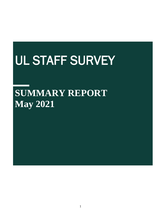# UL STAFF SURVEY

## **SUMMARY REPORT May 2021**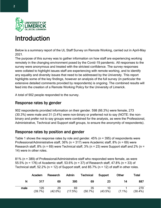

### Introduction

Below is a summary report of the UL Staff Survey on Remote Working, carried out in April-May 2021.

The purpose of this survey was to gather information on how staff are experiencing working remotely in the changing environment posed by the Covid-19 pandemic. All responses to the survey were anonymous and treated with the strictest confidence. The survey responses were collated to highlight issues staff are experiencing with remote working, and to identify any equality and diversity issues that need to be addressed by the University. This report highlights some of the key findings, however an analysis of the full survey (in particular the extensive detailed comments provided by respondents) is ongoing. The combined results will feed into the creation of a Remote Working Policy for the University of Limerick.

A total of 902 people responded to the survey.

#### Response rates by gender

902 respondents provided information on their gender. 598 (66.3%) were female, 273 (30.3%) were male and 31 (3.4%) were non-binary or preferred not to say (NOTE: the nonbinary and prefer not to say groups were combined for the analysis, as were the Professional, Administrative, Technical and Support staff groups, to ensure the anonymity of respondents).

#### Response rates by position and gender

Table 1 shows the response rates by role and gender. 45% (n = 395) of respondents were Professional/Administrative staff, 36% (n = 317) were Academic staff, 8% (n = 69) were Research staff, 8% (n = 69) were Technical staff, 3% (n = 23) were Support staff and 2% (n = 14) were in other roles.

81% (n = 389) of Professional/Administrative staff who responded were female, as were 55.5% (n = 176) of Academic staff, 53.6% (n = 37) of Research staff, 47.8% (n = 33) of Technical staff, 52.2% ( $n = 12$ ) of Support staff, and 85.7% ( $n = 12$ ) of staff in other roles.

|      | Academ         | Research         | Admin         | <b>Technical</b> | Support          | Other     | Total             |
|------|----------------|------------------|---------------|------------------|------------------|-----------|-------------------|
| N    | 317            | 69               | 395           | 69               | 23               | 14        | 887               |
| male | 126<br>(39.7%) | 29<br>$(42.0\%)$ | 69<br>(17.5%) | 35<br>(50.7%)    | 10<br>$(43.5\%)$ | $(7.1\%)$ | 270<br>$(30.4\%)$ |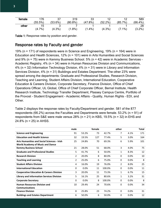| female | 176       |           | 319        | 33        |            |           | 589        |
|--------|-----------|-----------|------------|-----------|------------|-----------|------------|
|        | (55.5%)   | (53.6%)   | $(80.8\%)$ | (47.8%)   | $(52.2\%)$ | (85.7%)   | $(66.4\%)$ |
| other  |           |           |            |           |            |           | 28         |
|        | $(4.7\%)$ | $(4.3\%)$ | $(1.8\%)$  | $(1.4\%)$ | $(4.3\%)$  | $(7.1\%)$ | $(3.2\%)$  |

Table 1: Response rates by position and gender.

#### Response rates by Faculty and gender

19% (n = 171) of respondents were in Science and Engineering, 19% (n = 164) were in Education and Health Sciences, 12% (n = 101) were in Arts Humanities and Social Sciences and 9% (n = 75) were in Kemmy Business School. 5% (n = 42) were in Academic Services - Academic Registry, 4% (n = 34) were in Human Resources Division and Communications, 4% (n = 32) Information Technology Division, 4% (n = 31) were in Library and Information Services Division, 4% (n = 31) Buildings and Estates Department. The other 23% were spread among the departments: Graduate and Professional Studies, Research Division, Teaching and Learning, Student Affairs Division, International Education, Cooperative Education & Careers Division, Corporate Secretary, Finance Division, Office of Chief Operations Officer, UL Global, Office of Chief Corporate Officer, Bernal Institute, Health Research Institute, Technology Transfer Department, Plassey Campus Centre, Portfolio of the Provost - Student Engagement - Academic Affairs - Quality, Human Rights – EDI, and Other.

Table 2 displays the response rates by Faculty/Department and gender. 581 of the 877 respondents (66.2%) across the Faculties and Departments were female. 53.2% (n = 91) of respondents from S&E were male versus 28% (n = 21) in KBS, 19.5% (n = 32) in EHS and 24.8% (n = 25) in AHSS.

|                                                                                               | male           |       | female |        | other        |      | Total |
|-----------------------------------------------------------------------------------------------|----------------|-------|--------|--------|--------------|------|-------|
| <b>Science and Engineering</b>                                                                | 91             | 53.2% | 73     | 42.7%  | 7            | 4.1% | 171   |
| <b>Education and Health Science</b>                                                           | 32             | 19.5% | 127    | 77.4%  | 5            | 3.0% | 164   |
| <b>Arts Humanities and Social Sciences - Irish</b><br><b>World Academy of Music and Dance</b> | 25             | 24.8% | 70     | 69.3%  | 6            | 5.9% | 101   |
| <b>Kemmy Business School</b>                                                                  | 21             | 28.0% | 51     | 68.0%  | 3            | 4.0% | 75    |
| <b>Graduate and Professional Studies</b>                                                      | 5              | 41.7% | 6      | 50.0%  | 1            | 8.3% | 12    |
| <b>Research Division</b>                                                                      | $\overline{2}$ | 20.0% | 8      | 80.0%  | 0            | 0.0% | 10    |
| <b>Teaching and Learning</b>                                                                  | $\overline{2}$ | 25.0% | 6      | 75.0%  | 0            | 0.0% | 8     |
| <b>Student Affairs Division</b>                                                               | 4              | 16.0% | 19     | 76.0%  | 2            | 8.0% | 25    |
| <b>International Education</b>                                                                | 0              | 0.0%  | 11     | 100.0% | 0            | 0.0% | 11    |
| <b>Cooperative Education &amp; Careers Division</b>                                           | 3              | 20.0% | 11     | 73.3%  | 1            | 6.7% | 15    |
| <b>Library and Information Services Division</b>                                              | 5              | 16.1% | 25     | 80.6%  | $\mathbf{1}$ | 3.2% | 31    |
| <b>Corporate Secretary</b>                                                                    | 0              | 0.0%  | 8      | 100.0% | 0            | 0.0% | 8     |
| <b>Human Resources Division and</b>                                                           | 10             | 29.4% | 24     | 70.6%  | 0            | 0.0% | 34    |
| <b>Communications</b>                                                                         |                |       |        |        |              |      |       |
| <b>Finance Division</b>                                                                       | 8              | 25.8% | 23     | 74.2%  | 0            | 0.0% | 31    |
| <b>Buildings and Estates Department</b>                                                       | 6              | 50.0% | 6      | 50.0%  | 0            | 0.0% | 12    |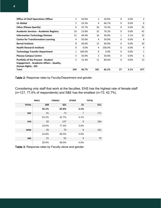| <b>Office of Chief Operations Officer</b>    | 1              | 50.0%  | 1   | 50.0%  | 0        | $0.0\%$ | 2   |
|----------------------------------------------|----------------|--------|-----|--------|----------|---------|-----|
| <b>UL Global</b>                             | $\overline{2}$ | 33.3%  | 4   | 66.7%  | 0        | 0.0%    | 6   |
| <b>Other (Please Specify)</b>                | 9              | 25.7%  | 26  | 74.3%  | 0        | 0.0%    | 35  |
| <b>Academic Services - Academic Registry</b> | 10             | 23.8%  | 32  | 76.2%  | 0        | 0.0%    | 42  |
| <b>Information Technology Division</b>       | 15             | 46.9%  | 16  | 50.0%  | 1        | 3.1%    | 32  |
| <b>Centre for Transformative Learning</b>    | 4              | 50.0%  | 4   | 50.0%  | 0        | 0.0%    | 8   |
| <b>Bernal Institute</b>                      | 8              | 40.0%  | 12  | 60.0%  | 0        | 0.0%    | 20  |
| <b>Health Research Institute</b>             | 0              | 0.0%   | 4   | 100.0% | 0        | 0.0%    | 4   |
| <b>Technology Transfer Department</b>        | 1              | 100.0% | 0   | 0.0%   | 0        | 0.0%    | 1   |
| <b>Plassey Campus Centre</b>                 | 3              | 50.0%  | 3   | 50.0%  | 0        | 0.0%    | 6   |
| <b>Portfolio of the Provost - Student</b>    | $\overline{2}$ | 15.4%  | 11  | 84.6%  | $\Omega$ | 0.0%    | 13  |
| Engagement - Academic Affairs - Quality,     |                |        |     |        |          |         |     |
| <b>Human Rights - EDI</b>                    |                |        |     |        |          |         |     |
| Total                                        | 269            | 30.7%  | 581 | 66.2%  | 27       | 3.1%    | 877 |

Table 2: Response rates by Faculty/Department and gender.

Considering only staff that work at the faculties, EHS has the highest rate of female staff (n=127, 77,4% of respondents) and S&E has the smallest (n=73, 42.7%).

|                | <b>MALE</b> | <b>FEMALE</b> | <b>OTHER</b>   | <b>TOTAL</b> |
|----------------|-------------|---------------|----------------|--------------|
| <b>TOTAL</b>   | 169         | 321           | 21             | 511          |
|                | 33.1%       | 62.8%         | 4.1%           |              |
| <b>S&amp;E</b> | 91          | 73            | $\overline{7}$ | 171          |
|                | 53.2%       | 42.7%         | 4.1%           |              |
| <b>EHS</b>     | 32          | 127           | 5              | 164          |
|                | 19.5%       | 77.4%         | 3.0%           |              |
| <b>AHSS</b>    | 25          | 70            | 6              | 101          |
|                | 24.8%       | 69.3%         | 5.9%           |              |
| <b>KBS</b>     | 21          | 51            | 3              | 75           |
|                | 28.0%       | 68.0%         | 4.0%           |              |

Table 3: Response rates by Faculty alone and gender.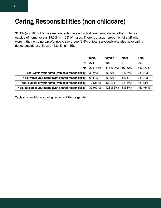### Caring Responsibilities (non-childcare)

31.1% (n = 187) of female respondents have non-childcare caring duties either within or outside of home versus 19.3% (n = 53) of males. There is a larger proportion of staff who were in the non-binary/prefer not to say group (3.4% of total surveyed) who also have caring duties outside of childcare (48.4%, n = 15).

|                                                        | male         | female    | other    | <b>Total</b> |
|--------------------------------------------------------|--------------|-----------|----------|--------------|
| N.                                                     | 274          | 602       | 31       | 907          |
|                                                        | No 221 (81%) | 415 (69%) | 16 (52%) | 652 (72%)    |
| Yes, within your home (with sole responsibility)       | 3(6%)        | 16 (9%)   | 4(27%)   | 23 (9%)      |
| Yes, within your home (with shared responsibility)     | 6(11%)       | 16 (9%)   | 1(7%)    | 23 (9%)      |
| Yes, outside of your home (with sole responsibility)   | 12 (23%)     | 32 (17%)  | 2(13%)   | 46 (18%)     |
| Yes, outside of your home (with shared responsibility) | 32 (60%)     | 123 (66%) | 8(53%)   | 163 (64%)    |

Table 4: Non-childcare caring responsibilities by gender.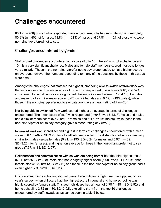### Challenges encountered

80% ( $n = 700$ ) of staff who responded have encountered challenges while working remotely; 80.3% (n = 466) of females, 79.8% (n = 213) of males and 77.8% (n = 21) of those who were non-binary/preferred not to say.

#### Challenges encountered by gender

Staff scored challenges encountered on a scale of 0 to 10, where  $0 =$  is not a challenge and 10 = is a very significant challenge. Males and female staff members scored most challenges very similarly. Those in the non-binary/prefer not to say group tended to have higher scores on average, however the numbers responding to many of the questions by those in this group were small.

Amongst the challenges that staff scored highest, Not being able to switch off from work was the first on average. The mean score of those who responded (n=643) was 6.48, and 57% considered it a significant or very significant challenge (scores between 7 and 10). Females and males had a similar mean score (6.47, n=427 females and 6.47, n=196 males), while those in the non-binary/prefer not to say category gave a mean rating of 7 (n=20).

Not being able to switch off from work scored highest on average in terms of challenges encountered. The mean score of staff who responded (n=643) was 6.48. Females and males had a similar mean score (6.47, n=427 females and 6.47, n=196 males), while those in the non-binary/prefer not to say category gave a mean rating of 7 (n=20).

Increased workload scored second highest in terms of challenges encountered, with a mean score of 6.1 (n=622, SD 3.26) for all staff who responded. The distribution of scores was very similar for males versus females (6.21, n=195, SD=3.24 for males and 5.97, n=409, SD=3.27). for females), and higher on average for those in the non-binary/prefer not to say group (7.67, n=18, SD=2.97).

Collaboration and communication with co-workers being harder had the third highest mean (5.61, n=635, SD=3.08). Male staff had a slightly higher score (5.98, n=202, SD=2.96) than female staff (5.35, n=413, SD=3.10) and those in the non-binary/prefer not to say group had it even higher (7.3, n=20, SD=3.11).

Childcare and home schooling did not present a significantly high mean, as opposed to last year's survey, when childcare had the highest score in general and home schooling was highly scored by female staff. This year, childcare had a mean of 3.78 (n=481, SD=3.92) and home schooling 3.82 (n=480, SD=3.92), excluding them from the top 10 challenges encountered by staff nowadays, as can be seen in table 5 below.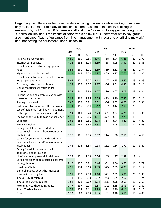Regarding the differences between genders at facing challenges while working from home, only male staff had "Too many distractions at home" as one of the top 10 challenges (mean=4.32, n=177, SD=3.07). Female staff and other/prefer not to say gender category had "General anxiety about the impact of coronavirus on my life". Other/prefer not to say group also mentioned: "Lack of guidance from line management with regard to prioritising my work" and "not having the equipment I need" as top 10.

|                                          |      | male |      | fem  |     |      | other |    |      |
|------------------------------------------|------|------|------|------|-----|------|-------|----|------|
|                                          | Mea  |      |      | Mea  |     |      | Mea   |    |      |
|                                          | n    | N    | SD   | n    | N   | SD   | n     | N  | SD   |
| My physical workspace                    | 4.90 | 196  | 2.86 | 4.46 | 418 | 2.94 | 6.48  | 21 | 2.73 |
| Internet connectivity                    | 4.12 | 194  | 3.14 | 3.89 | 415 | 3.05 | 5.57  | 21 | 3.36 |
| I don't have access to the equipment I   |      |      |      |      |     |      |       |    |      |
| need                                     | 3.93 | 181  | 3.01 | 2.69 | 369 | 2.62 | 5.55  | 20 | 2.74 |
| My workload has increased                | 6.21 | 195  | 3.24 | 5.97 | 409 | 3.27 | 7.67  | 18 | 2.97 |
| I don't have information I need to do my |      |      |      |      |     |      |       |    |      |
| job properly at home                     | 3.08 | 171  | 2.77 | 2.18 | 347 | 2.55 | 5.47  | 19 | 3.29 |
| Too many distractions at home            | 4.32 | 177  | 3.07 | 3.17 | 366 | 3.01 | 4.32  | 19 | 3.11 |
| Online meetings are much more            |      |      |      |      |     |      |       |    |      |
| stressful                                | 3.77 | 181  | 2.90 | 3.77 | 380 | 3.07 | 5.05  | 19 | 3.21 |
| Collaboration and communication with     |      |      |      |      |     |      |       |    |      |
| co-workers is harder                     | 5.98 | 202  | 2.96 | 5.35 | 413 | 3.10 | 7.30  | 20 | 3.11 |
| Staying motivated                        | 5.08 | 179  | 3.21 | 3.92 | 386 | 3.03 | 4.95  | 19 | 3.31 |
| Not being able to switch off from work   | 6.44 | 196  | 3.14 | 6.47 | 427 | 3.12 | 7.00  | 20 | 3.18 |
| Lack of guidance from line management    |      |      |      |      |     |      |       |    |      |
| with regard to prioritising my work      | 3.14 | 169  | 3.24 | 3.23 | 351 | 3.32 | 6.21  | 19 | 3.36 |
| Lack of opportunity to take annual leave | 4.78 | 175  | 3.65 | 4.51 | 377 | 3.67 | 7.21  | 19 | 3.19 |
| Childcare                                | 3.81 | 152  | 3.81 | 3.74 | 317 | 3.94 | 4.42  | 12 | 4.81 |
| Home schooling                           | 3.69 | 145  | 3.82 | 3.88 | 323 | 3.95 | 3.92  | 12 | 4.68 |
| Caring for children with additional      |      |      |      |      |     |      |       |    |      |
| needs (such as physical/developmental    |      |      |      |      |     |      |       |    |      |
| disabilities)                            | 0.77 | 121  | 2.35 | 0.57 | 244 | 1.98 | 2.50  | 8  | 4.63 |
| Caring for young adults with additional  |      |      |      |      |     |      |       |    |      |
| needs (such as physical/developmental    |      |      |      |      |     |      |       |    |      |
| disabilities)                            | 0.44 | 116  | 1.85 | 0.14 | 232 | 0.84 | 1.70  | 10 | 3.47 |
| Caring for adult dependents with         |      |      |      |      |     |      |       |    |      |
| additional needs (such as                |      |      |      |      |     |      |       |    |      |
| physical/developmental disabilities)     | 0.39 | 121  | 1.68 | 0.56 | 245 | 1.97 | 2.38  | 8  | 4.14 |
| Caring for older people (such as parents |      |      |      |      |     |      |       |    |      |
| or neighbours)                           | 2.12 | 130  | 3.21 | 2.46 | 301 | 3.06 | 3.55  | 11 | 3.72 |
| Loneliness/Isolation                     | 4.27 | 174  | 3.13 | 4.03 | 375 | 2.95 | 4.95  | 19 | 3.14 |
| General anxiety about the impact of      |      |      |      |      |     |      |       |    |      |
| coronavirus on my life                   | 3.91 | 170  | 2.90 | 4.18 | 371 | 2.99 | 5.80  | 20 | 3.38 |
| Illness (COVID related)                  | 0.71 | 116  | 2.13 | 0.52 | 243 | 1.65 | 2.67  | 9  | 3.74 |
| Illness (non-COVID related)              | 1.62 | 128  | 2.69 | 1.64 | 265 | 2.58 | 2.08  | 12 | 2.68 |
| <b>Attending Health Appointments</b>     | 1.77 | 137  | 2.77 | 1.67 | 272 | 2.55 | 2.93  | 14 | 2.89 |
| <b>Stress/Anxiety Levels</b>             | 4.77 | 178  | 3.11 | 4.98 | 391 | 2.90 | 6.16  | 19 | 3.10 |
| Other                                    | 1.12 | 89   | 2.83 | 1.85 | 191 | 3.48 | 5.50  | 10 | 4.88 |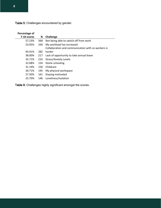Table 5: Challenges encountered by gender.

| Percentage of |     |                                                    |
|---------------|-----|----------------------------------------------------|
| 7-10 scores   | N   | Challenge                                          |
| 57.23%        | 368 | Not being able to switch off from work             |
| 53.05%        | 330 | My workload has increased                          |
|               |     | Collaboration and communication with co-workers is |
| 44.41%        | 282 | harder                                             |
| 38.00%        | 217 | Lack of opportunity to take annual leave           |
| 35.71%        | 210 | Stress/Anxiety Levels                              |
| 32.08%        | 154 | Home schooling                                     |
| 31.19%        | 150 | Childcare                                          |
| 30.71%        | 195 | My physical workspace                              |
| 27.50%        | 161 | Staying motivated                                  |
| 25.70%        | 146 | Loneliness/Isolation                               |
|               |     |                                                    |

Table 6: Challenges highly significant amongst the scores.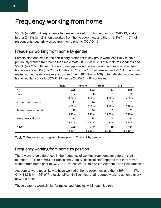### Frequency working from home

55.3% (n = 484) of respondents had never worked from home prior to COVID-19, and a further 24.9% ( $n = 218$ ) only worked from home every now and then. 19.9% ( $n = 174$ ) of respondents regularly worked from home prior to COVID-19.

#### Frequency working from home by gender

Female staff and staff in the non-binary/prefer not to say group were less likely to have previously worked from home than male staff. 58.5% (n = 581) of female respondents and 55.6% (n = 27) of those in the non-binary/prefer not to say group had never worked from home versus 48.1% (n = 268) of males. 23.2% (n = 135) of females and 29.1% (n = 78) of males worked from home every now and then.  $18.3\%$  (n = 106) of female staff worked from home regularly prior to COVID-19 versus  $22.7\%$  (n = 61) of males.

|                       | male   | female | other  | <b>Total</b> |
|-----------------------|--------|--------|--------|--------------|
| N                     | 268    | 581    | 27     | 876          |
| Daily                 | 22     | 26     | 1      | 49           |
|                       | 8.20%  | 4.50%  | 3.70%  | 5.60%        |
| Several times a week  | 17     | 44     |        | 62           |
|                       | 6.30%  | 7.60%  | 3.70%  | 7.10%        |
| Several times a month | 22     | 36     | 5      | 63           |
|                       | 8.20%  | 6.20%  | 18.50% | 7.20%        |
| Every now and then    | 78     | 135    | 5      | 218          |
|                       | 29.10% | 23.20% | 18.50% | 24.90%       |
| Never                 | 129    | 340    | 15     | 484          |
|                       | 48.10% | 58.50% | 55.60% | 55.30%       |

Table 7: Frequency working from home prior to Covid-19 by gender.

### Frequency working from home by position

There were large differences in the frequency of working from home for different staff members. 79% (n = 365) of Professional/Admin/Technical staff reported that they never worked from home prior to COVID-19 versus 24.9% (n = 94) of Academic and Research staff.

Academics were most likely to have worked at home every now and then (39%, n = 147). Only 14.3% (n = 66) of Professional/Admin/Technical staff reported working at home every now and then.

These patterns were similar for males and females within each job role.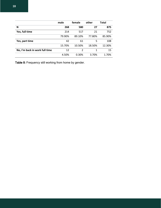|                                | male   | female         | other  | <b>Total</b> |
|--------------------------------|--------|----------------|--------|--------------|
| N                              | 268    | 580            | 27     | 875          |
| Yes, full time                 | 214    | 517            | 21     | 752          |
|                                | 79.90% | 89.10%         | 77.80% | 85.90%       |
| Yes, part time                 | 42     | 61             | 5      | 108          |
|                                | 15.70% | 10.50%         | 18.50% | 12.30%       |
| No, I'm back in work full time | 12     | $\mathfrak{p}$ | 1      | 15           |
|                                | 4.50%  | 0.30%          | 3.70%  | 1.70%        |

Table 8: Frequency still working from home by gender.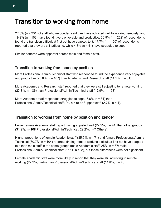### Transition to working from home

27.3% (n = 231) of staff who responded said they have adjusted well to working remotely, and 19.2% (n = 163) have found it very enjoyable and productive. 30.9% (n = 262) of respondents found the transition difficult at first but have adapted to it. 17.7% (n = 150) of respondents reported that they are still adjusting, while  $4.8\%$  (n = 41) have struggled to cope.

Similar patterns were apparent across male and female staff.

#### Transition to working from home by position

More Professional/Admin/Technical staff who responded found the experience very enjoyable and productive  $(23.8\% \, \text{n} = 107)$  than Academic and Research staff  $(14.1\% \, \text{n} = 51)$ .

More Academic and Research staff reported that they were still adjusting to remote working  $(23.8\%$ , n = 86) than Professional/Admin/Technical staff  $(12.9\%$ , n = 58).

More Academic staff responded struggled to cope  $(8.6\% \text{ m} = 31)$  than Professional/Admin/Technical staff (2% n = 9) or Support staff (2.7%, n = 1).

#### Transition to working from home by position and gender

Fewer female Academic staff report having adjusted well (22.2%,  $n = 44$ ) than other groups (31.9%, n=108 Professional/Admin/Technical; 29.2%, n=7 Others).

Higher proportions of female Academic staff (35.9%, n = 71) and female Professional/Admin/ Technical (30.7%, n = 104) reported finding remote working difficult at first but have adapted to it than male staff in the same groups (male Academic staff: 25%, n = 37; male Professional/Admin/Technical staff: 27.5% n =28), but these differences were not significant.

Female Academic staff were more likely to report that they were still adjusting to remote working (22.2%, n=44) than Professional/Admin/Technical staff (11.8%, n = 40).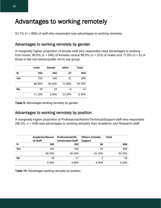### Advantages to working remotely

93.7% (n = 800) of staff who responded saw advantages to working remotely.

#### Advantages to working remotely by gender

A marginally higher proportion of female staff who responded cited advantages to working from home, 96.6% (n = 546) of females versus 88.9% (n = 233) of males and 77.8% (n = 6) of those in the non-binary/prefer not to say group.

|           | male   | female | other  | Total  |
|-----------|--------|--------|--------|--------|
| N         | 262    | 565    | 27     | 854    |
| Yes       | 233    | 546    | 21     | 800    |
|           | 88.90% | 96.60% | 77.80% | 93.70% |
| <b>No</b> | 29     | 19     | 6      | 54     |
|           | 11.10% | 3.40%  | 22.20% | 6.30%  |

Table 9: Advantages working remotely by gender.

#### Advantages to working remotely by position

A marginally higher proportion of Professional/Admin/Technical/Support staff who responded (96.2%, n = 436) saw advantages to working remotely than Academic and Research staff.

|           | Academic/Resear<br>ch Staff | <b>Professional/Ad</b><br>ministrative Staff | Others, includes<br><b>Support</b> | <b>Total</b> |
|-----------|-----------------------------|----------------------------------------------|------------------------------------|--------------|
|           |                             |                                              |                                    |              |
| N         | 365                         | 453                                          | 36                                 | 854          |
| Yes       | 331                         | 436                                          | 33                                 | 800          |
|           | 90.70%                      | 96.20%                                       | 91.70%                             | 93.70%       |
| <b>No</b> | 34                          | 17                                           | 3                                  | 54           |
|           | 9.30%                       | 3.80%                                        | 8.30%                              | 6.30%        |
|           |                             |                                              |                                    |              |

Table 10: Advantages working remotely by position.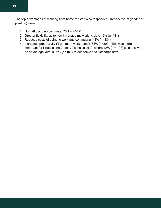The top advantages of working from home for staff who responded (irrespective of gender or position) were:

- 1. No traffic and no commute: 75% (n=677)
- 2. Greater flexibility as to how I manage my working day: 49% (n=441)
- 3. Reduced costs of going to work and commuting: 43% (n=384)
- 4. Increased productivity ("I get more work done"): 34% (n=309). This was more important for Professional/Admin/ Technical staff, where 42% (n = 197) said this was an advantage versus 26% (n=101) of Academic and Research staff.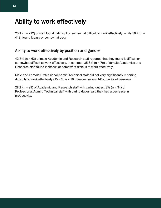### Ability to work effectively

25% (n = 212) of staff found it difficult or somewhat difficult to work effectively, while 50% (n = 418) found it easy or somewhat easy.

#### Ability to work effectively by position and gender

42.5% (n = 62) of male Academic and Research staff reported that they found it difficult or somewhat difficult to work effectively. In contrast, 35.6% (n = 70) of female Academics and Research staff found it difficult or somewhat difficult to work effectively.

Male and Female Professional/Admin/Technical staff did not vary significantly reporting difficulty to work effectively (15.9%,  $n = 16$  of males versus 14%,  $n = 47$  of females).

28% (n = 99) of Academic and Research staff with caring duties, 8% (n = 34) of Professional/Admin/ Technical staff with caring duties said they had a decrease in productivity.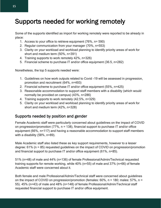### Supports needed for working remotely

Some of the supports identified as import for working remotely were reported to be already in place:

- 1. Access to your office to retrieve equipment (76%, n= 590)
- 2. Regular communication from your manager (70%, n=553)
- 3. Clarity on your workload and workload planning to identify priority areas of work for short and medium term (50%, n=391)
- 4. Training supports to work remotely 42%, n=326)
- 5. Financial scheme to purchase IT and/or office equipment (36.5, n=282)

Nonetheless, the top 5 supports needed were:

- 1. Guidelines on how work outputs related to Covid -19 will be assessed in progression, promotion and recruitment (64%, n=493)
- 2. Financial scheme to purchase IT and/or office equipment (55%, n=425)
- 3. Reasonable accommodation to support staff members with a disability (which would normally be provided on campus) (43%, n=286)
- 4. Training supports to work remotely (42.5%, n=329)
- 5. Clarity on your workload and workload planning to identify priority areas of work for short and medium term (42%, n=328)

#### Supports needed by position and gender

Female Academic staff were particularly concerned about guidelines on the impact of COVID on progression/promotion  $(77\% , n = 138)$ , financial support to purchase IT and/or office equipment (66%, n=117) and having a reasonable accommodation to support staff members with a disability (58%, n=89).

Male Academic staff also listed these as key support requirements, however to a lesser degree: 61% (n = 85) requested guidelines on the impact of COVID on progression/promotion and financial support to purchase IT and/or office equipment (61%, n=85).

51% (n=48) of male and 44% (n=136) of female Professional/Admin/Technical requested training supports for remote working, while 40% (n=55) of male and 37% (n=66) of female Academic staff were concerned about it.

Both female and male Professional/Admin/Technical staff were concerned about guidelines on the impact of COVID on progression/promotion (females:  $60\%$ ,  $n = 180$ ; males:  $57\%$ ,  $n =$ 55). 45% (n=43) of male and 48% (n=148) of female Professional/Admin/Technical staff requested financial support to purchase IT and/or office equipment.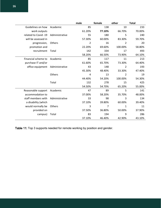|                      |                | male           | female | other          | <b>Total</b> |
|----------------------|----------------|----------------|--------|----------------|--------------|
| Guidelines on how    | Academic       | 85             | 138    | 10             | 233          |
| work outputs         |                | 61.20%         | 77.10% | 66.70%         | 70.00%       |
| related to Covid -19 | Administrative | 55             | 180    | 5              | 240          |
| will be assessed in  |                | 57.30%         | 60.00% | 83.30%         | 59.70%       |
| progression,         | Others         | $\overline{2}$ | 16     | 2              | 20           |
| promotion and        |                | 22.20%         | 69.60% | 100.00%        | 58.80%       |
| recruitment          | Total          | 142            | 334    | 17             | 493          |
|                      |                | 58.20%         | 66.50% | 73.90%         | 64.10%       |
| Financial scheme to  | Academic       | 85             | 117    | 11             | 213          |
| purchase IT and/or   |                | 61.60%         | 65.70% | 73.30%         | 64.40%       |
| office equipment     | Administrative | 43             | 148    | $\overline{2}$ | 193          |
|                      |                | 45.30%         | 48.40% | 33.30%         | 47.40%       |
|                      | Others         | 4              | 13     | $\overline{2}$ | 19           |
|                      |                | 44.40%         | 54.20% | 100.00%        | 54.30%       |
|                      | Total          | 132            | 278    | 15             | 425          |
|                      |                | 54.50%         | 54.70% | 65.20%         | 55.00%       |
| Reasonable support   | Academic       | 47             | 89     | 5              | 141          |
| accommodation to     |                | 37.00%         | 58.20% | 35.70%         | 48.00%       |
| staff members with   | Administrative | 33             | 98     | 3              | 134          |
| a disability (which  |                | 37.10%         | 39.80% | 60.00%         | 39.40%       |
| would normally be    | Others         | 3              | 7      | 1              | 11           |
| provided on          |                | 37.50%         | 36.80% | 50.00%         | 37.90%       |
| campus)              | Total          | 83             | 194    | 9              | 286          |
|                      |                | 37.10%         | 46.40% | 42.90%         | 43.10%       |

Table 11: Top 3 supports needed for remote working by position and gender.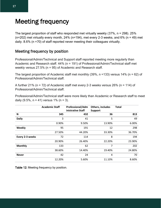### Meeting frequency

The largest proportion of staff who responded met virtually weekly (37%, n = 298). 25% ( $n=202$ ) met virtually every month, 24% ( $n=194$ ), met every 2-3 weeks, and 6% ( $n=49$ ) met daily. 8.6% (n =70) of staff reported never meeting their colleagues virtually.

#### Meeting frequency by position

Professional/Admin/Technical and Support staff reported meeting more regularly than Academic and Research staff. 44% (n = 191) of Professional/Admin/Technical staff met weekly versus 27.5% (n = 95) of Academic and Research staff.

The largest proportion of Academic staff met monthly (39%, n =133) versus 14% (n = 62) of Professional/Admin/Technical staff.

A further 21% (n = 72) of Academic staff met every 2-3 weeks versus 26% (n = 114) of Professional/Admin/Technical staff.

Professional/Admin/Technical staff were more likely than Academic or Research staff to meet daily  $(9.5\% , n = 41)$  versus  $1\%$  (n = 3).

|                 | <b>Academic Staff</b> | <b>Professional/Adm</b><br>inistrative Staff | Others, includes<br><b>Support</b> | <b>Total</b> |
|-----------------|-----------------------|----------------------------------------------|------------------------------------|--------------|
| N               | 345                   | 432                                          | 36                                 | 813          |
| <b>Daily</b>    | 3                     | 41                                           | 5                                  | 49           |
|                 | 0.90%                 | 9.50%                                        | 13.90%                             | 6.00%        |
| Weekly          | 95                    | 191                                          | 12                                 | 298          |
|                 | 27.50%                | 44.20%                                       | 33.30%                             | 36.70%       |
| Every 2-3 weeks | 72                    | 114                                          | 8                                  | 194          |
|                 | 20.90%                | 26.40%                                       | 22.20%                             | 23.90%       |
| <b>Monthly</b>  | 133                   | 62                                           | 7                                  | 202          |
|                 | 38.60%                | 14.40%                                       | 19.40%                             | 24.80%       |
| <b>Never</b>    | 42                    | 24                                           | 4                                  | 70           |
|                 | 12.20%                | 5.60%                                        | 11.10%                             | 8.60%        |

Table 12: Meeting frequency by position.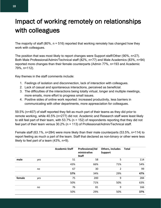### Impact of working remotely on relationships with colleagues

The majority of staff (80%,  $n = 516$ ) reported that working remotely has changed how they work with colleagues.

The position that was most likely to report changes were Support staff/Other (90%, n=27). Both Male Professional/Admin/Technical staff (82%, n=77) and Male Academics (83%, n=94) reported more changes than their female counterparts (Admin 77%, n=193 and Academic 79%, n=112).

Key themes in the staff comments include:

- 1. Feelings of isolation and disconnection, lack of interaction with colleagues.
- 2. Lack of casual and spontaneous interactions, perceived as beneficial.
- 3. The difficulties of the interactions being totally virtual, longer and multiple meetings, more emails, more effort to progress small issues.
- 4. Positive sides of online work reported: increased productivity, less barriers in communicating with other departments, more appreaciation for colleagues.

59.5% (n=407) of staff reported they felt as much part of their teams as they did prior to remote working, while 40.5% (n=277) did not. Academic and Research staff were least likely to still feel part of their team, with 53.7% (n = 152) of respondents reporting that they did not feel part of their team versus 30.2% (n = 113) of Professional/Admin/Technical staff.

Female staff (63.1%, n=284) were more likely than their male counterparts (53.5%, n=114) to report feeling as much a part of the team. Staff that declared as non-binary or other were less likely to feel part of a team (43%, n=9).

|        |     | <b>Academic Staff</b> | Professional/Ad<br>ministrative<br><b>Staff</b> | Others, includes<br><b>Support</b> | <b>Total</b> |
|--------|-----|-----------------------|-------------------------------------------------|------------------------------------|--------------|
| male   | yes | 51                    | 58                                              | 5                                  | 114          |
|        |     | 43%                   | 66%                                             | 71%                                | 54%          |
|        | no  | 67                    | 30                                              | 2                                  | 99           |
|        |     | 57%                   | 34%                                             | 29%                                | 47%          |
| female | yes | 75                    | 200                                             | 9                                  | 284          |
|        |     | 50%                   | 71%                                             | 50%                                | 63%          |
|        | no  | 76                    | 81                                              | 9                                  | 166          |
|        |     | 50%                   | 29%                                             | 50%                                | 37%          |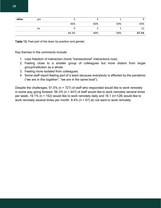| other | yes |       |     |     |       |
|-------|-----|-------|-----|-----|-------|
|       |     | 36%   | 60% | 50% | 43%   |
|       | no  |       |     |     |       |
|       |     | 64.3% | 40% | 50% | 57.1% |

Table 13: Feel part of the team by position and gender.

Key themes in the comments include:

- 1. Less freedom of interaction (more "transactional" interactions now).
- 2. Feeling close to a smaller group of colleagues but more distant from larger group/institution as a whole.
- 3. Feeling more isolated from colleagues.
- 4. Some staff report feeling part of a team because everybody is affected by the pandemic ("we are in this together", "we are in the same boat").

Despite the challenges,  $91.5\%$  (n = 727) of staff who responded would like to work remotely in some way going forward. 56.3% ( $n = 447$ ) of staff would like to work remotely several times per week, 19.1% (n = 152) would like to work remotely daily and 16.1 (n=128) would like to work remotely several times per month.  $8.4\%$  (n = 67) do not want to work remotely.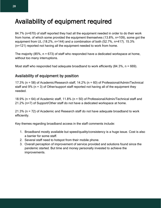### Availability of equipment required

84.7% (n=670) of staff reported they had all the equipment needed in order to do their work from home, of which some provided the equipment themselves (13.8%, n=109), some got the equipment from UL (18.2%, n=144) and a combination of both (52.7%, n=417). 15.3% (n=121) reported not having all the equipment needed to work from home.

The majority (85%,  $n = 673$ ) of staff who responded have a dedicated workspace at home, without too many interruptions.

Most staff who responded had adequate broadband to work efficiently  $(84.3\%$ , n = 669).

### Availability of equipment by position

17.3% (n = 58) of Academic/Research staff, 14.2% (n = 60) of Professional/Admin/Technical staff and  $9\%$  (n = 3) of Other/support staff reported not having all of the equipment they needed.

18.9% (n = 64) of Academic staff, 11.8% (n = 50) of Professional/Admin/Technical staff and 21.2% (n=7) of Support/Other staff do not have a dedicated workspace at home.

21.3% (n = 72) of Academic and Research staff do not have adequate broadband to work efficiently.

Key themes regarding broadband access in the staff comments include:

- 1. Broadband mostly available but speed/quality/consistency is a huge issue. Cost is also a barrier for some staff.
- 2. Several staff need to hotspot from their mobile phone.
- 3. Overall perception of improvement of service provided and solutions found since the pandemic started. But time and money personally invested to achieve the improvements.